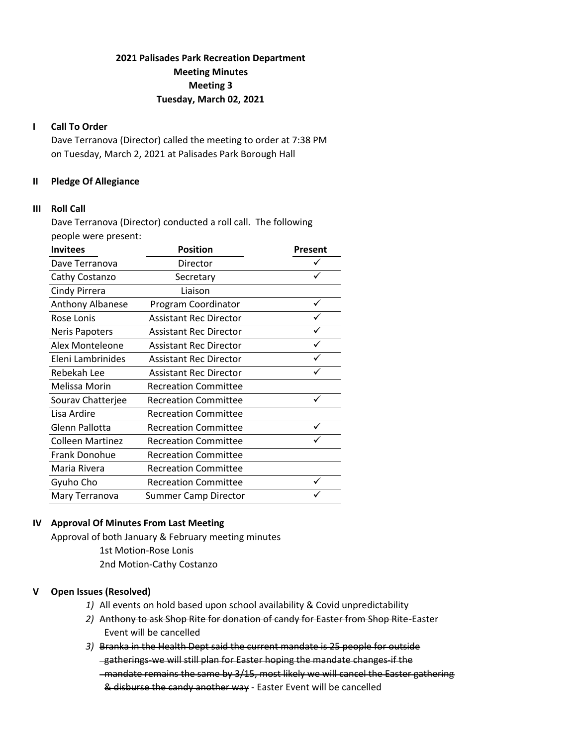# **2021 Palisades Park Recreation Department Meeting Minutes Meeting 3 Tuesday, March 02, 2021**

## **I Call To Order**

Dave Terranova (Director) called the meeting to order at 7:38 PM on Tuesday, March 2, 2021 at Palisades Park Borough Hall

### **II Pledge Of Allegiance**

#### **III Roll Call**

Dave Terranova (Director) conducted a roll call. The following people were present:

| <b>Invitees</b>         | <b>Position</b>               | Present |
|-------------------------|-------------------------------|---------|
| Dave Terranova          | Director                      |         |
| Cathy Costanzo          | Secretary                     |         |
| Cindy Pirrera           | Liaison                       |         |
| Anthony Albanese        | Program Coordinator           |         |
| Rose Lonis              | <b>Assistant Rec Director</b> |         |
| <b>Neris Papoters</b>   | <b>Assistant Rec Director</b> |         |
| Alex Monteleone         | <b>Assistant Rec Director</b> |         |
| Eleni Lambrinides       | <b>Assistant Rec Director</b> |         |
| Rebekah Lee             | <b>Assistant Rec Director</b> |         |
| Melissa Morin           | <b>Recreation Committee</b>   |         |
| Sourav Chatterjee       | <b>Recreation Committee</b>   |         |
| Lisa Ardire             | <b>Recreation Committee</b>   |         |
| Glenn Pallotta          | <b>Recreation Committee</b>   |         |
| <b>Colleen Martinez</b> | <b>Recreation Committee</b>   |         |
| Frank Donohue           | <b>Recreation Committee</b>   |         |
| Maria Rivera            | <b>Recreation Committee</b>   |         |
| Gyuho Cho               | <b>Recreation Committee</b>   |         |
| Mary Terranova          | <b>Summer Camp Director</b>   |         |

## **IV Approval Of Minutes From Last Meeting**

Approval of both January & February meeting minutes 1st Motion‐Rose Lonis 2nd Motion‐Cathy Costanzo

## **V Open Issues (Resolved)**

- *1)* All events on hold based upon school availability & Covid unpredictability
- *2)* Anthony to ask Shop Rite for donation of candy for Easter from Shop Rite‐Easter Event will be cancelled
- *3)* Branka in the Health Dept said the current mandate is 25 people for outside gatherings‐we will still plan for Easter hoping the mandate changes‐if the -mandate remains the same by 3/15, most likely we will cancel the Easter gathering & disburse the candy another way ‐ Easter Event will be cancelled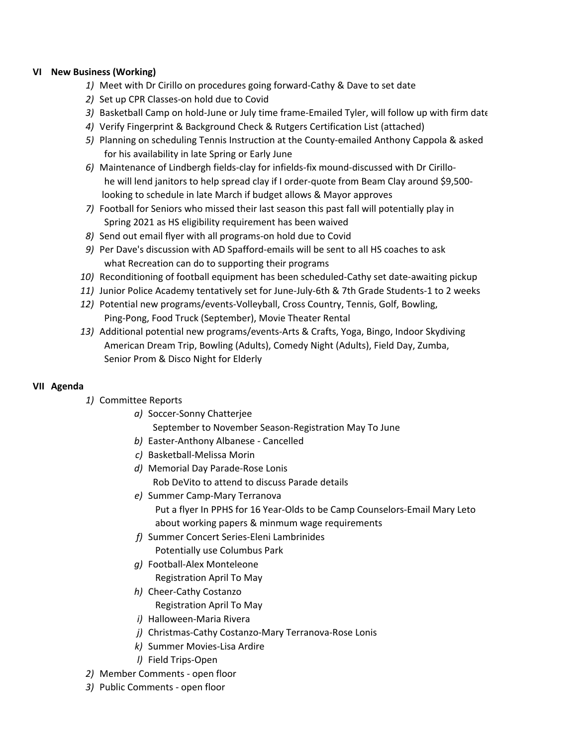## **VI New Business (Working)**

- *1)* Meet with Dr Cirillo on procedures going forward‐Cathy & Dave to set date
- *2)* Set up CPR Classes‐on hold due to Covid
- *3)* Basketball Camp on hold‐June or July time frame‐Emailed Tyler, will follow up with firm date
- *4)* Verify Fingerprint & Background Check & Rutgers Certification List (attached)
- *5)* Planning on scheduling Tennis Instruction at the County‐emailed Anthony Cappola & asked for his availability in late Spring or Early June
- *6)* Maintenance of Lindbergh fields‐clay for infields‐fix mound‐discussed with Dr Cirillo‐ he will lend janitors to help spread clay if I order-quote from Beam Clay around \$9,500looking to schedule in late March if budget allows & Mayor approves
- *7)* Football for Seniors who missed their last season this past fall will potentially play in Spring 2021 as HS eligibility requirement has been waived
- *8)* Send out email flyer with all programs‐on hold due to Covid
- *9)* Per Dave's discussion with AD Spafford‐emails will be sent to all HS coaches to ask what Recreation can do to supporting their programs
- 10) Reconditioning of football equipment has been scheduled-Cathy set date-awaiting pickup
- *11)* Junior Police Academy tentatively set for June‐July‐6th & 7th Grade Students‐1 to 2 weeks
- *12)* Potential new programs/events‐Volleyball, Cross Country, Tennis, Golf, Bowling, Ping‐Pong, Food Truck (September), Movie Theater Rental
- *13)* Additional potential new programs/events‐Arts & Crafts, Yoga, Bingo, Indoor Skydiving American Dream Trip, Bowling (Adults), Comedy Night (Adults), Field Day, Zumba, Senior Prom & Disco Night for Elderly

### **VII Agenda**

- *1)* Committee Reports
	- *a)* Soccer‐Sonny Chatterjee September to November Season‐Registration May To June
	- *b)* Easter‐Anthony Albanese ‐ Cancelled
	- *c)* Basketball‐Melissa Morin
	- *d)* Memorial Day Parade‐Rose Lonis Rob DeVito to attend to discuss Parade details
	- *e)* Summer Camp‐Mary Terranova Put a flyer In PPHS for 16 Year‐Olds to be Camp Counselors‐Email Mary Leto about working papers & minmum wage requirements
	- *f)* Summer Concert Series‐Eleni Lambrinides Potentially use Columbus Park
	- *g)* Football‐Alex Monteleone Registration April To May
	- *h)* Cheer‐Cathy Costanzo
		- Registration April To May
	- *i)* Halloween‐Maria Rivera
	- *j)* Christmas‐Cathy Costanzo‐Mary Terranova‐Rose Lonis
	- *k)* Summer Movies‐Lisa Ardire
	- *l)* Field Trips‐Open
- *2)* Member Comments ‐ open floor
- *3)* Public Comments ‐ open floor